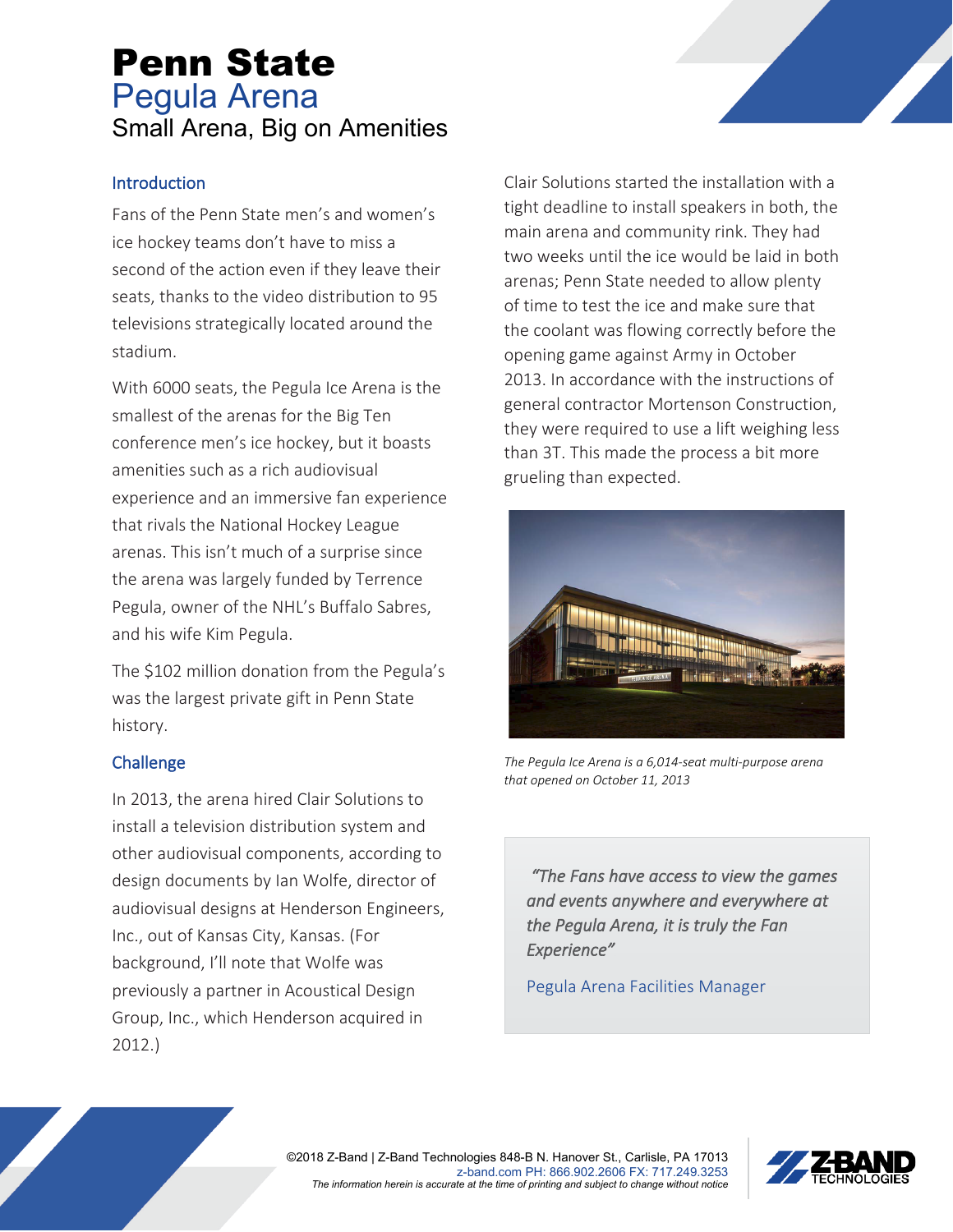#### **Introduction**

Fans of the Penn State men's and women's ice hockey teams don't have to miss a second of the action even if they leave their seats, thanks to the video distribution to 95 televisions strategically located around the stadium.

With 6000 seats, the Pegula Ice Arena is the smallest of the arenas for the Big Ten conference men's ice hockey, but it boasts amenities such as a rich audiovisual experience and an immersive fan experience that rivals the National Hockey League arenas. This isn't much of a surprise since the arena was largely funded by Terrence Pegula, owner of the NHL's Buffalo Sabres, and his wife Kim Pegula.

The \$102 million donation from the Pegula's was the largest private gift in Penn State history.

#### **Challenge**

In 2013, the arena hired Clair Solutions to install a television distribution system and other audiovisual components, according to design documents by Ian Wolfe, director of audiovisual designs at Henderson Engineers, Inc., out of Kansas City, Kansas. (For background, I'll note that Wolfe was previously a partner in Acoustical Design Group, Inc., which Henderson acquired in 2012.)

Clair Solutions started the installation with a tight deadline to install speakers in both, the main arena and community rink. They had two weeks until the ice would be laid in both arenas; Penn State needed to allow plenty of time to test the ice and make sure that the coolant was flowing correctly before the opening game against Army in October 2013. In accordance with the instructions of general contractor Mortenson Construction, they were required to use a lift weighing less than 3T. This made the process a bit more grueling than expected.



*The Pegula Ice Arena is a 6,014-seat multi-purpose arena that opened on October 11, 2013*

 *"The Fans have access to view the games and events anywhere and everywhere at the Pegula Arena, it is truly the Fan Experience"* 

Pegula Arena Facilities Manager



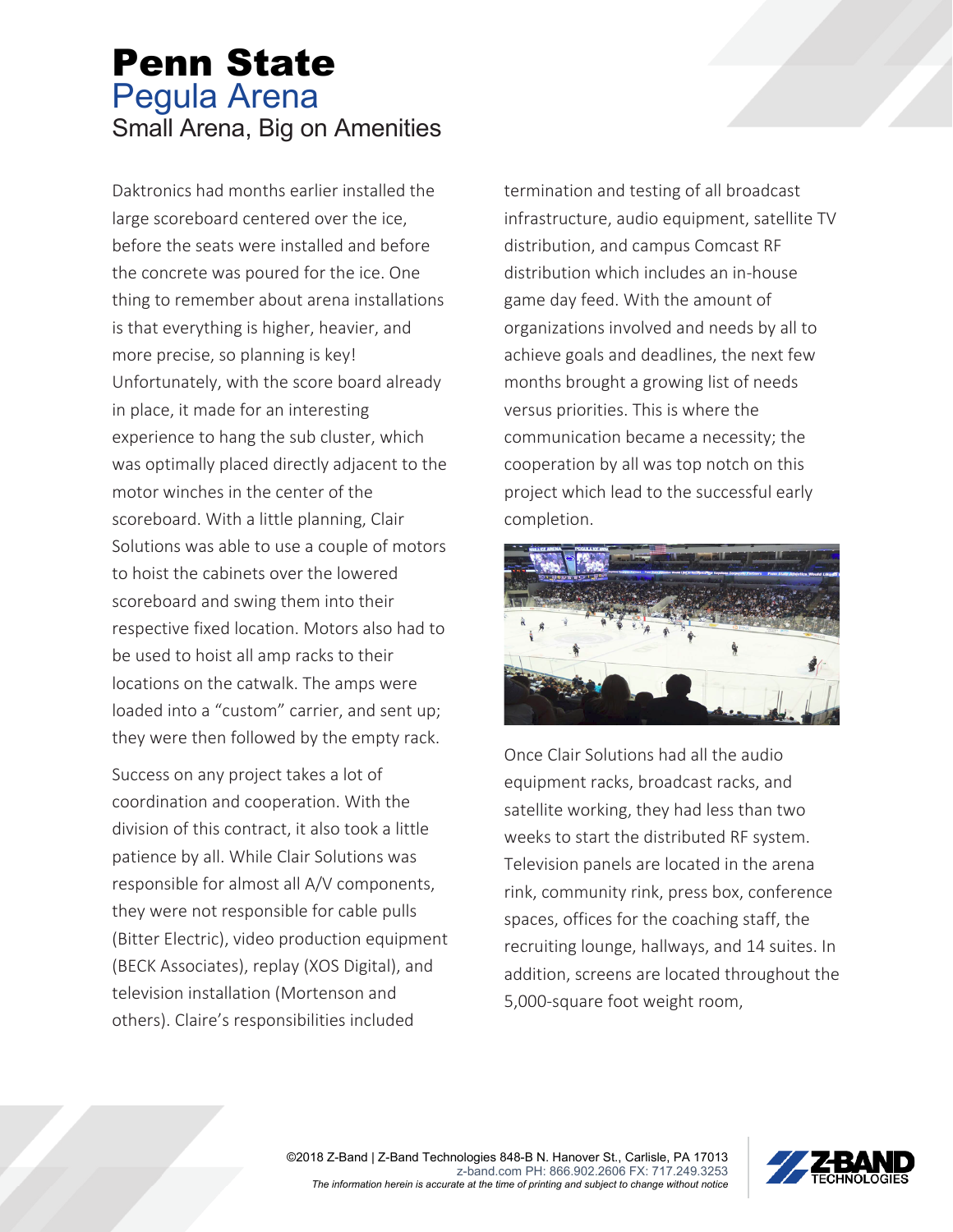Daktronics had months earlier installed the large scoreboard centered over the ice, before the seats were installed and before the concrete was poured for the ice. One thing to remember about arena installations is that everything is higher, heavier, and more precise, so planning is key! Unfortunately, with the score board already in place, it made for an interesting experience to hang the sub cluster, which was optimally placed directly adjacent to the motor winches in the center of the scoreboard. With a little planning, Clair Solutions was able to use a couple of motors to hoist the cabinets over the lowered scoreboard and swing them into their respective fixed location. Motors also had to be used to hoist all amp racks to their locations on the catwalk. The amps were loaded into a "custom" carrier, and sent up; they were then followed by the empty rack.

Success on any project takes a lot of coordination and cooperation. With the division of this contract, it also took a little patience by all. While Clair Solutions was responsible for almost all A/V components, they were not responsible for cable pulls (Bitter Electric), video production equipment (BECK Associates), replay (XOS Digital), and television installation (Mortenson and others). Claire's responsibilities included

termination and testing of all broadcast infrastructure, audio equipment, satellite TV distribution, and campus Comcast RF distribution which includes an in-house game day feed. With the amount of organizations involved and needs by all to achieve goals and deadlines, the next few months brought a growing list of needs versus priorities. This is where the communication became a necessity; the cooperation by all was top notch on this project which lead to the successful early completion.



Once Clair Solutions had all the audio equipment racks, broadcast racks, and satellite working, they had less than two weeks to start the distributed RF system. Television panels are located in the arena rink, community rink, press box, conference spaces, offices for the coaching staff, the recruiting lounge, hallways, and 14 suites. In addition, screens are located throughout the 5,000-square foot weight room,

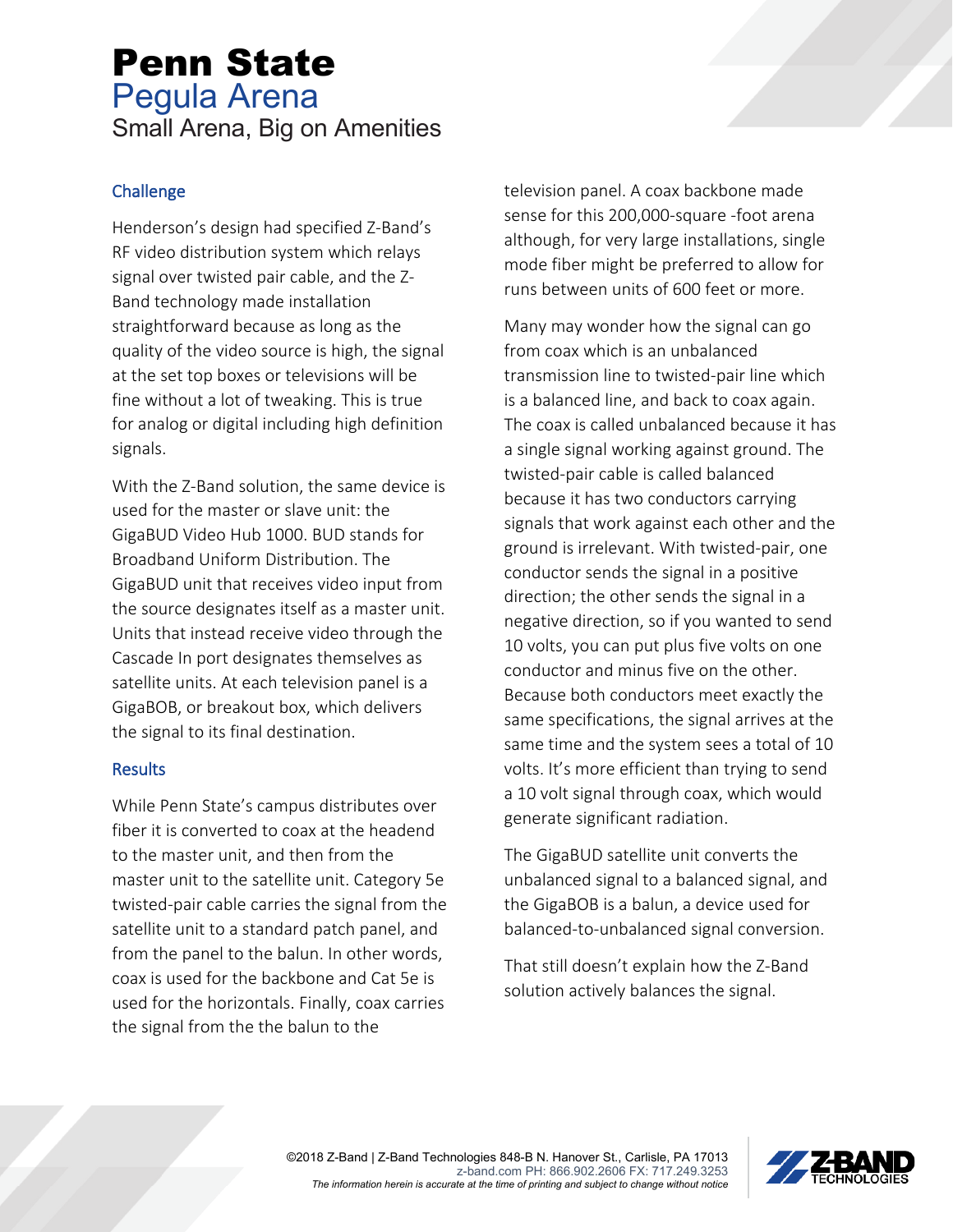#### **Challenge**

Henderson's design had specified Z-Band's RF video distribution system which relays signal over twisted pair cable, and the Z-Band technology made installation straightforward because as long as the quality of the video source is high, the signal at the set top boxes or televisions will be fine without a lot of tweaking. This is true for analog or digital including high definition signals.

With the Z-Band solution, the same device is used for the master or slave unit: the GigaBUD Video Hub 1000. BUD stands for Broadband Uniform Distribution. The GigaBUD unit that receives video input from the source designates itself as a master unit. Units that instead receive video through the Cascade In port designates themselves as satellite units. At each television panel is a GigaBOB, or breakout box, which delivers the signal to its final destination.

#### **Results**

While Penn State's campus distributes over fiber it is converted to coax at the headend to the master unit, and then from the master unit to the satellite unit. Category 5e twisted-pair cable carries the signal from the satellite unit to a standard patch panel, and from the panel to the balun. In other words, coax is used for the backbone and Cat 5e is used for the horizontals. Finally, coax carries the signal from the the balun to the

television panel. A coax backbone made sense for this 200,000-square -foot arena although, for very large installations, single mode fiber might be preferred to allow for runs between units of 600 feet or more.

Many may wonder how the signal can go from coax which is an unbalanced transmission line to twisted-pair line which is a balanced line, and back to coax again. The coax is called unbalanced because it has a single signal working against ground. The twisted-pair cable is called balanced because it has two conductors carrying signals that work against each other and the ground is irrelevant. With twisted-pair, one conductor sends the signal in a positive direction; the other sends the signal in a negative direction, so if you wanted to send 10 volts, you can put plus five volts on one conductor and minus five on the other. Because both conductors meet exactly the same specifications, the signal arrives at the same time and the system sees a total of 10 volts. It's more efficient than trying to send a 10 volt signal through coax, which would generate significant radiation.

The GigaBUD satellite unit converts the unbalanced signal to a balanced signal, and the GigaBOB is a balun, a device used for balanced-to-unbalanced signal conversion.

That still doesn't explain how the Z-Band solution actively balances the signal.

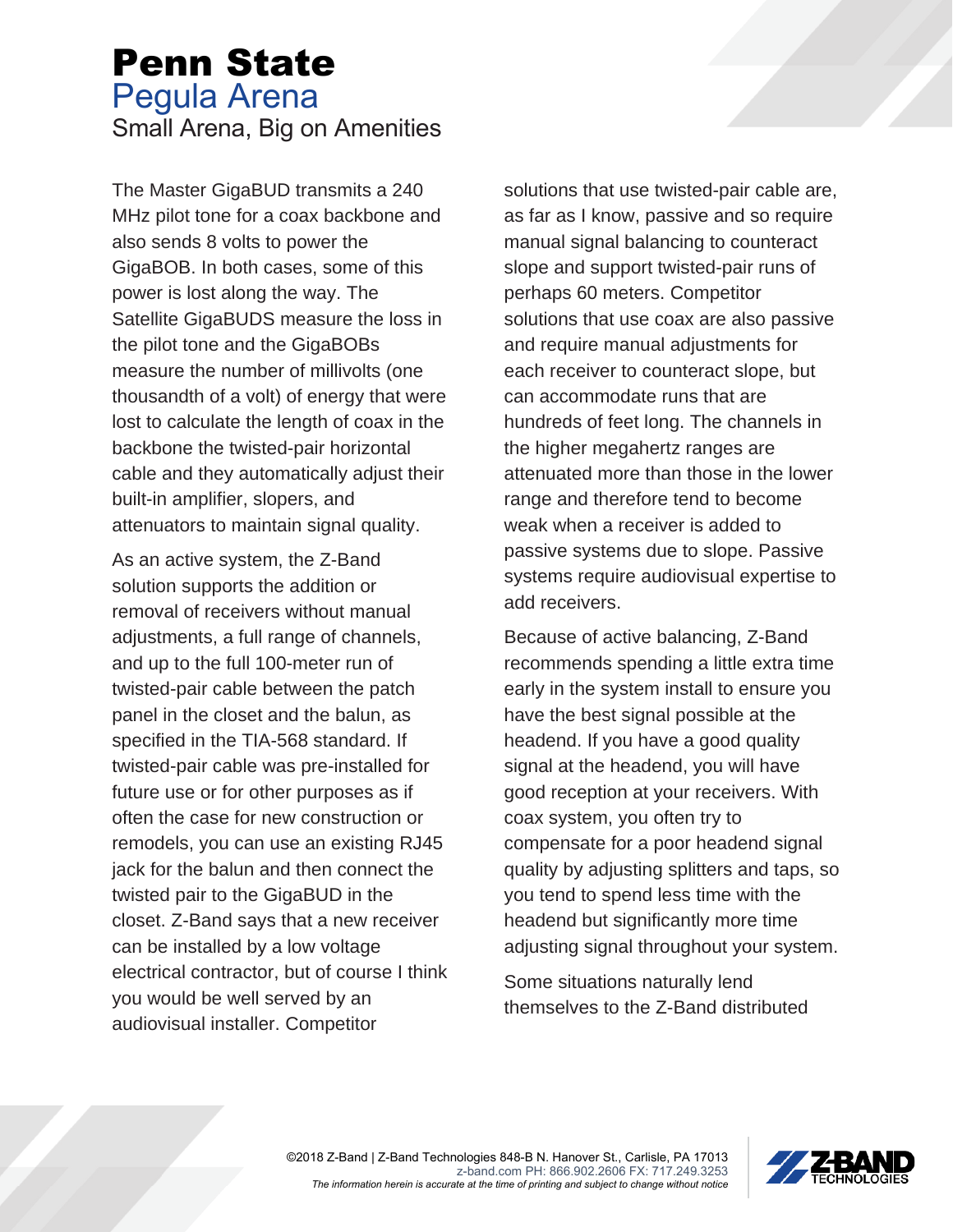The Master GigaBUD transmits a 240 MHz pilot tone for a coax backbone and also sends 8 volts to power the GigaBOB. In both cases, some of this power is lost along the way. The Satellite GigaBUDS measure the loss in the pilot tone and the GigaBOBs measure the number of millivolts (one thousandth of a volt) of energy that were lost to calculate the length of coax in the backbone the twisted-pair horizontal cable and they automatically adjust their built-in amplifier, slopers, and attenuators to maintain signal quality.

As an active system, the Z-Band solution supports the addition or removal of receivers without manual adjustments, a full range of channels, and up to the full 100-meter run of twisted-pair cable between the patch panel in the closet and the balun, as specified in the TIA-568 standard. If twisted-pair cable was pre-installed for future use or for other purposes as if often the case for new construction or remodels, you can use an existing RJ45 jack for the balun and then connect the twisted pair to the GigaBUD in the closet. Z-Band says that a new receiver can be installed by a low voltage electrical contractor, but of course I think you would be well served by an audiovisual installer. Competitor

solutions that use twisted-pair cable are, as far as I know, passive and so require manual signal balancing to counteract slope and support twisted-pair runs of perhaps 60 meters. Competitor solutions that use coax are also passive and require manual adjustments for each receiver to counteract slope, but can accommodate runs that are hundreds of feet long. The channels in the higher megahertz ranges are attenuated more than those in the lower range and therefore tend to become weak when a receiver is added to passive systems due to slope. Passive systems require audiovisual expertise to add receivers.

Because of active balancing, Z-Band recommends spending a little extra time early in the system install to ensure you have the best signal possible at the headend. If you have a good quality signal at the headend, you will have good reception at your receivers. With coax system, you often try to compensate for a poor headend signal quality by adjusting splitters and taps, so you tend to spend less time with the headend but significantly more time adjusting signal throughout your system.

Some situations naturally lend themselves to the Z-Band distributed